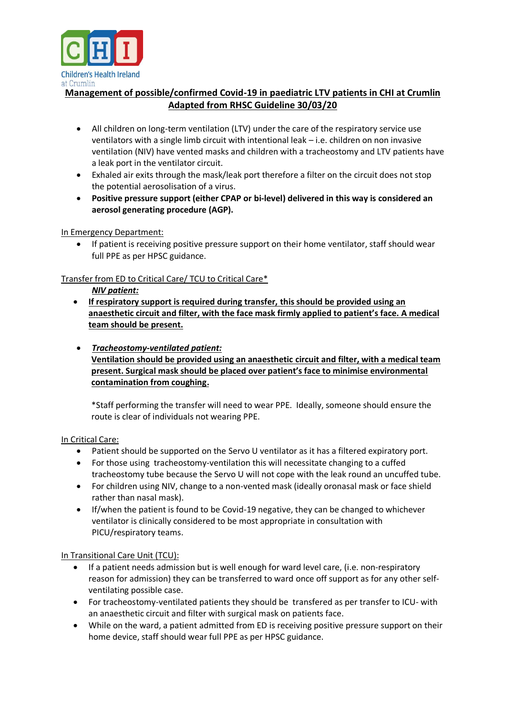

# **Management of possible/confirmed Covid-19 in paediatric LTV patients in CHI at Crumlin Adapted from RHSC Guideline 30/03/20**

- All children on long-term ventilation (LTV) under the care of the respiratory service use ventilators with a single limb circuit with intentional leak – i.e. children on non invasive ventilation (NIV) have vented masks and children with a tracheostomy and LTV patients have a leak port in the ventilator circuit.
- Exhaled air exits through the mask/leak port therefore a filter on the circuit does not stop the potential aerosolisation of a virus.
- **Positive pressure support (either CPAP or bi-level) delivered in this way is considered an aerosol generating procedure (AGP).**

#### In Emergency Department:

 If patient is receiving positive pressure support on their home ventilator, staff should wear full PPE as per HPSC guidance.

### Transfer from ED to Critical Care/ TCU to Critical Care\*

#### *NIV patient:*

- **If respiratory support is required during transfer, this should be provided using an anaesthetic circuit and filter, with the face mask firmly applied to patient's face. A medical team should be present.**
- *Tracheostomy-ventilated patient:* **Ventilation should be provided using an anaesthetic circuit and filter, with a medical team present. Surgical mask should be placed over patient's face to minimise environmental contamination from coughing.**

\*Staff performing the transfer will need to wear PPE. Ideally, someone should ensure the route is clear of individuals not wearing PPE.

#### In Critical Care:

- Patient should be supported on the Servo U ventilator as it has a filtered expiratory port.
- For those using tracheostomy-ventilation this will necessitate changing to a cuffed tracheostomy tube because the Servo U will not cope with the leak round an uncuffed tube.
- For children using NIV, change to a non-vented mask (ideally oronasal mask or face shield rather than nasal mask).
- If/when the patient is found to be Covid-19 negative, they can be changed to whichever ventilator is clinically considered to be most appropriate in consultation with PICU/respiratory teams.

## In Transitional Care Unit (TCU):

- If a patient needs admission but is well enough for ward level care, (i.e. non-respiratory reason for admission) they can be transferred to ward once off support as for any other selfventilating possible case.
- For tracheostomy-ventilated patients they should be transfered as per transfer to ICU- with an anaesthetic circuit and filter with surgical mask on patients face.
- While on the ward, a patient admitted from ED is receiving positive pressure support on their home device, staff should wear full PPE as per HPSC guidance.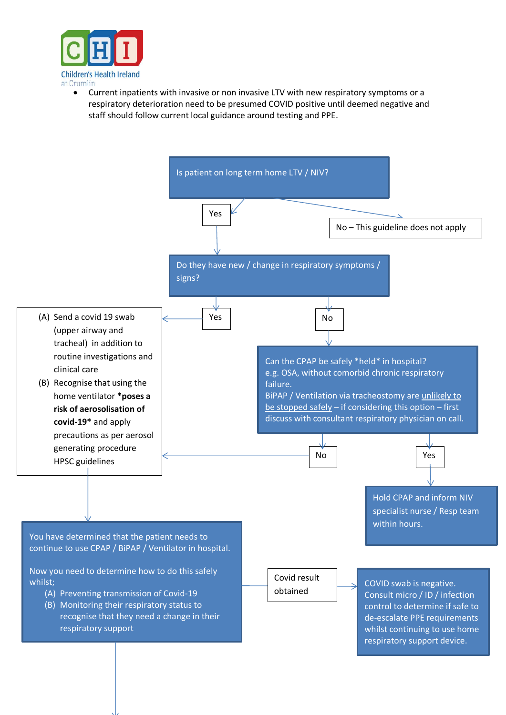

 Current inpatients with invasive or non invasive LTV with new respiratory symptoms or a respiratory deterioration need to be presumed COVID positive until deemed negative and staff should follow current local guidance around testing and PPE.

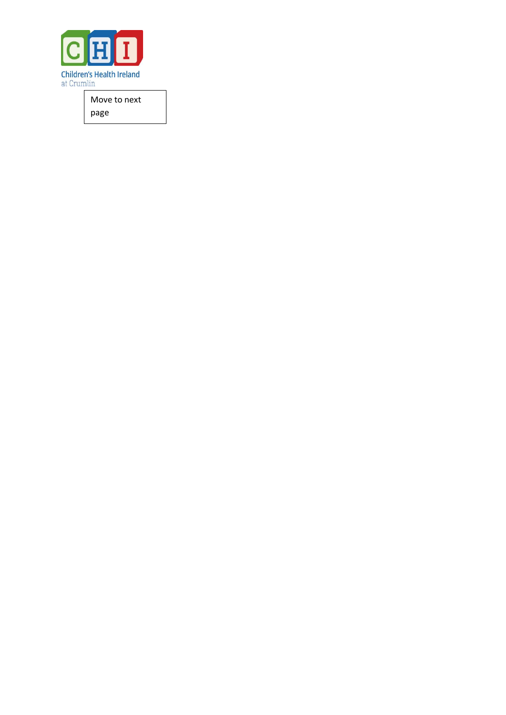

Move to next page